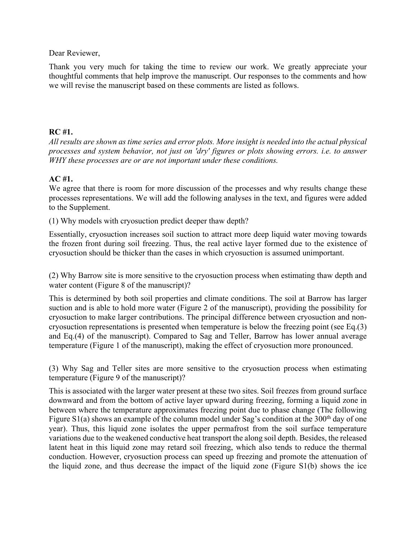Dear Reviewer,

Thank you very much for taking the time to review our work. We greatly appreciate your thoughtful comments that help improve the manuscript. Our responses to the comments and how we will revise the manuscript based on these comments are listed as follows.

## **RC #1.**

*All results are shown as time series and error plots. More insight is needed into the actual physical processes and system behavior, not just on 'dry' figures or plots showing errors. i.e. to answer WHY these processes are or are not important under these conditions.*

## **AC #1.**

We agree that there is room for more discussion of the processes and why results change these processes representations. We will add the following analyses in the text, and figures were added to the Supplement.

(1) Why models with cryosuction predict deeper thaw depth?

Essentially, cryosuction increases soil suction to attract more deep liquid water moving towards the frozen front during soil freezing. Thus, the real active layer formed due to the existence of cryosuction should be thicker than the cases in which cryosuction is assumed unimportant.

(2) Why Barrow site is more sensitive to the cryosuction process when estimating thaw depth and water content (Figure 8 of the manuscript)?

This is determined by both soil properties and climate conditions. The soil at Barrow has larger suction and is able to hold more water (Figure 2 of the manuscript), providing the possibility for cryosuction to make larger contributions. The principal difference between cryosuction and noncryosuction representations is presented when temperature is below the freezing point (see Eq.(3) and Eq.(4) of the manuscript). Compared to Sag and Teller, Barrow has lower annual average temperature (Figure 1 of the manuscript), making the effect of cryosuction more pronounced.

(3) Why Sag and Teller sites are more sensitive to the cryosuction process when estimating temperature (Figure 9 of the manuscript)?

This is associated with the larger water present at these two sites. Soil freezes from ground surface downward and from the bottom of active layer upward during freezing, forming a liquid zone in between where the temperature approximates freezing point due to phase change (The following Figure  $S_1(a)$  shows an example of the column model under Sag's condition at the 300<sup>th</sup> day of one year). Thus, this liquid zone isolates the upper permafrost from the soil surface temperature variations due to the weakened conductive heat transport the along soil depth. Besides, the released latent heat in this liquid zone may retard soil freezing, which also tends to reduce the thermal conduction. However, cryosuction process can speed up freezing and promote the attenuation of the liquid zone, and thus decrease the impact of the liquid zone (Figure S1(b) shows the ice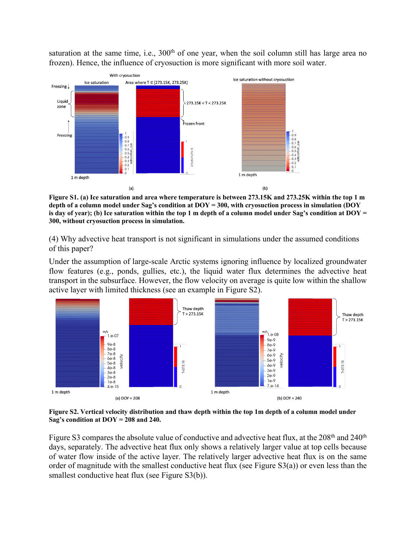saturation at the same time, i.e.,  $300<sup>th</sup>$  of one year, when the soil column still has large area no frozen). Hence, the influence of cryosuction is more significant with more soil water.



**Figure S1. (a) Ice saturation and area where temperature is between 273.15K and 273.25K within the top 1 m depth of a column model under Sag's condition at DOY = 300, with cryosuction process in simulation (DOY is day of year); (b) Ice saturation within the top 1 m depth of a column model under Sag's condition at DOY = 300, without cryosuction process in simulation.**

(4) Why advective heat transport is not significant in simulations under the assumed conditions of this paper?

Under the assumption of large-scale Arctic systems ignoring influence by localized groundwater flow features (e.g., ponds, gullies, etc.), the liquid water flux determines the advective heat transport in the subsurface. However, the flow velocity on average is quite low within the shallow active layer with limited thickness (see an example in Figure S2).



**Figure S2. Vertical velocity distribution and thaw depth within the top 1m depth of a column model under Sag's condition at DOY = 208 and 240.**

Figure S3 compares the absolute value of conductive and advective heat flux, at the 208<sup>th</sup> and 240<sup>th</sup> days, separately. The advective heat flux only shows a relatively larger value at top cells because of water flow inside of the active layer. The relatively larger advective heat flux is on the same order of magnitude with the smallest conductive heat flux (see Figure S3(a)) or even less than the smallest conductive heat flux (see Figure S3(b)).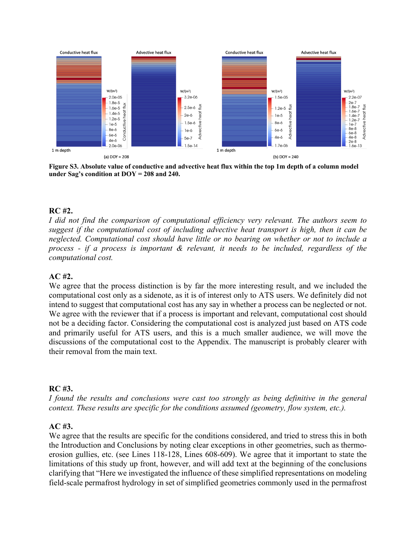

**Figure S3. Absolute value of conductive and advective heat flux within the top 1m depth of a column model under Sag's condition at DOY = 208 and 240.**

## **RC #2.**

*I did not find the comparison of computational efficiency very relevant. The authors seem to suggest if the computational cost of including advective heat transport is high, then it can be neglected. Computational cost should have little or no bearing on whether or not to include a process - if a process is important & relevant, it needs to be included, regardless of the computational cost.*

#### **AC #2.**

We agree that the process distinction is by far the more interesting result, and we included the computational cost only as a sidenote, as it is of interest only to ATS users. We definitely did not intend to suggest that computational cost has any say in whether a process can be neglected or not. We agree with the reviewer that if a process is important and relevant, computational cost should not be a deciding factor. Considering the computational cost is analyzed just based on ATS code and primarily useful for ATS users, and this is a much smaller audience, we will move the discussions of the computational cost to the Appendix. The manuscript is probably clearer with their removal from the main text.

#### **RC #3.**

*I found the results and conclusions were cast too strongly as being definitive in the general context. These results are specific for the conditions assumed (geometry, flow system, etc.).*

## **AC #3.**

We agree that the results are specific for the conditions considered, and tried to stress this in both the Introduction and Conclusions by noting clear exceptions in other geometries, such as thermoerosion gullies, etc. (see Lines 118-128, Lines 608-609). We agree that it important to state the limitations of this study up front, however, and will add text at the beginning of the conclusions clarifying that "Here we investigated the influence of these simplified representations on modeling field-scale permafrost hydrology in set of simplified geometries commonly used in the permafrost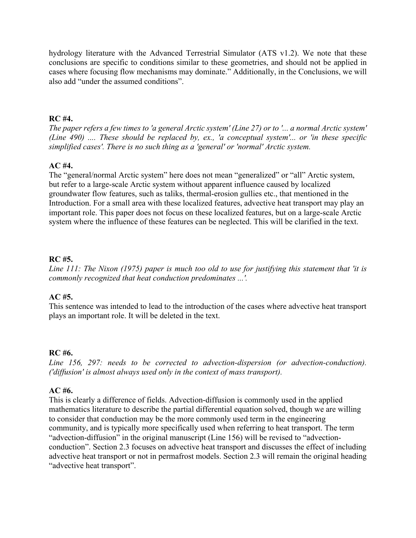hydrology literature with the Advanced Terrestrial Simulator (ATS v1.2). We note that these conclusions are specific to conditions similar to these geometries, and should not be applied in cases where focusing flow mechanisms may dominate." Additionally, in the Conclusions, we will also add "under the assumed conditions".

## **RC #4.**

*The paper refers a few times to 'a general Arctic system' (Line 27) or to '... a normal Arctic system' (Line 490) .... These should be replaced by, ex., 'a conceptual system'... or 'in these specific simplified cases'. There is no such thing as a 'general' or 'normal' Arctic system.*

## **AC #4.**

The "general/normal Arctic system" here does not mean "generalized" or "all" Arctic system, but refer to a large-scale Arctic system without apparent influence caused by localized groundwater flow features, such as taliks, thermal-erosion gullies etc., that mentioned in the Introduction. For a small area with these localized features, advective heat transport may play an important role. This paper does not focus on these localized features, but on a large-scale Arctic system where the influence of these features can be neglected. This will be clarified in the text.

## **RC #5.**

*Line 111: The Nixon (1975) paper is much too old to use for justifying this statement that 'it is commonly recognized that heat conduction predominates ...'.*

# **AC #5.**

This sentence was intended to lead to the introduction of the cases where advective heat transport plays an important role. It will be deleted in the text.

# **RC #6.**

*Line 156, 297: needs to be corrected to advection-dispersion (or advection-conduction). ('diffusion' is almost always used only in the context of mass transport).* 

# **AC #6.**

This is clearly a difference of fields. Advection-diffusion is commonly used in the applied mathematics literature to describe the partial differential equation solved, though we are willing to consider that conduction may be the more commonly used term in the engineering community, and is typically more specifically used when referring to heat transport. The term "advection-diffusion" in the original manuscript (Line 156) will be revised to "advectionconduction". Section 2.3 focuses on advective heat transport and discusses the effect of including advective heat transport or not in permafrost models. Section 2.3 will remain the original heading "advective heat transport".